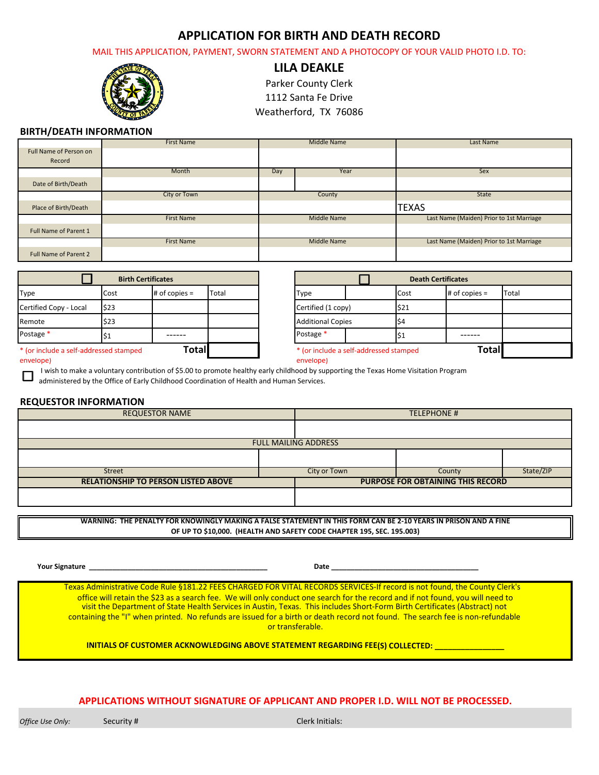### **APPLICATION FOR BIRTH AND DEATH RECORD**

MAIL THIS APPLICATION, PAYMENT, SWORN STATEMENT AND A PHOTOCOPY OF YOUR VALID PHOTO I.D. TO:



**LILA DEAKLE**

Parker County Clerk

1112 Santa Fe Drive

Weatherford, TX 76086

### **BIRTH/DEATH INFORMATION**

|                              | <b>First Name</b> | Middle Name | <b>Last Name</b>                         |  |
|------------------------------|-------------------|-------------|------------------------------------------|--|
| Full Name of Person on       |                   |             |                                          |  |
| Record                       |                   |             |                                          |  |
|                              | Month             | Year<br>Day | Sex                                      |  |
| Date of Birth/Death          |                   |             |                                          |  |
|                              | City or Town      | County      | State                                    |  |
| Place of Birth/Death         |                   |             | <b>TEXAS</b>                             |  |
|                              | <b>First Name</b> | Middle Name | Last Name (Maiden) Prior to 1st Marriage |  |
| Full Name of Parent 1        |                   |             |                                          |  |
|                              | <b>First Name</b> | Middle Name | Last Name (Maiden) Prior to 1st Marriage |  |
| <b>Full Name of Parent 2</b> |                   |             |                                          |  |

|                                        |      | <b>Birth Certificates</b> |       |                          |                                        | <b>Death Certificates</b> |                   |
|----------------------------------------|------|---------------------------|-------|--------------------------|----------------------------------------|---------------------------|-------------------|
| Type                                   | Cost | $#$ of copies $=$         | Total | <b>Type</b>              |                                        | Cost                      | $#$ of copies $=$ |
| Certified Copy - Local                 | \$23 |                           |       | Certified (1 copy)       |                                        | \$21                      |                   |
| Remote                                 | \$23 |                           |       | <b>Additional Copies</b> |                                        | S4                        |                   |
| Postage *                              |      |                           |       | Postage *                |                                        | 151                       |                   |
| * (or include a self-addressed stamped |      | Total                     |       |                          | * (or include a self-addressed stamped |                           | Totall            |

| <b>Birth Certificates</b>                              |      |                 |                                        | <b>Death Certificates</b> |  |           |                   |       |  |
|--------------------------------------------------------|------|-----------------|----------------------------------------|---------------------------|--|-----------|-------------------|-------|--|
| Type                                                   | Cost | # of copies $=$ | Total                                  | Type                      |  | Cost      | $#$ of copies $=$ | Total |  |
| Certified Copy - Local                                 | \$23 |                 |                                        | Certified (1 copy)        |  | \$21      |                   |       |  |
| Remote                                                 | \$23 |                 |                                        | <b>Additional Copies</b>  |  | <b>S4</b> |                   |       |  |
| Postage <sup>*</sup>                                   | דכו  |                 |                                        | Postage *                 |  | l\$1      |                   |       |  |
| <b>Total</b><br>* (or include a self-addressed stamped |      |                 | * (or include a self-addressed stamped |                           |  | Totall    |                   |       |  |

envelope) envelope)

I wish to make a voluntary contribution of \$5.00 to promote healthy early childhood by supporting the Texas Home Visitation Program

administered by the Office of Early Childhood Coordination of Health and Human Services.

#### **REQUESTOR INFORMATION**

|                                            |  | <b>FULL MAILING ADDRESS</b> |                                          |           |
|--------------------------------------------|--|-----------------------------|------------------------------------------|-----------|
|                                            |  |                             |                                          |           |
|                                            |  |                             |                                          |           |
| <b>Street</b>                              |  | City or Town                | County                                   | State/ZIP |
| <b>RELATIONSHIP TO PERSON LISTED ABOVE</b> |  |                             | <b>PURPOSE FOR OBTAINING THIS RECORD</b> |           |
|                                            |  |                             |                                          |           |

**WARNING: THE PENALTY FOR KNOWINGLY MAKING A FALSE STATEMENT IN THIS FORM CAN BE 2‐10 YEARS IN PRISON AND A FINE OF UP TO \$10,000. (HEALTH AND SAFETY CODE CHAPTER 195, SEC. 195.003)**

 **Your Signature \_\_\_\_\_\_\_\_\_\_\_\_\_\_\_\_\_\_\_\_\_\_\_\_\_\_\_\_\_\_\_\_\_\_\_\_\_\_\_\_\_\_\_\_\_\_ Date \_\_\_\_\_\_\_\_\_\_\_\_\_\_\_\_\_\_\_\_\_\_\_\_\_\_\_\_\_\_\_\_\_\_\_\_\_\_**

Texas Administrative Code Rule §181.22 FEES CHARGED FOR VITAL RECORDS SERVICES‐If record is not found, the County Clerk's office will retain the \$23 as a search fee. We will only conduct one search for the record and if not found, you will need to visit the Department of State Health Services in Austin, Texas. This includes Short‐Form Birth Certificates (Abstract) not containing the "I" when printed. No refunds are issued for a birth or death record not found. The search fee is non‐refundable or transferable.

#### **INITIALS OF CUSTOMER ACKNOWLEDGING ABOVE STATEMENT REGARDING FEE(S) COLLECTED: \_\_\_\_\_\_\_\_\_\_\_\_\_\_\_\_**

#### **APPLICATIONS WITHOUT SIGNATURE OF APPLICANT AND PROPER I.D. WILL NOT BE PROCESSED.**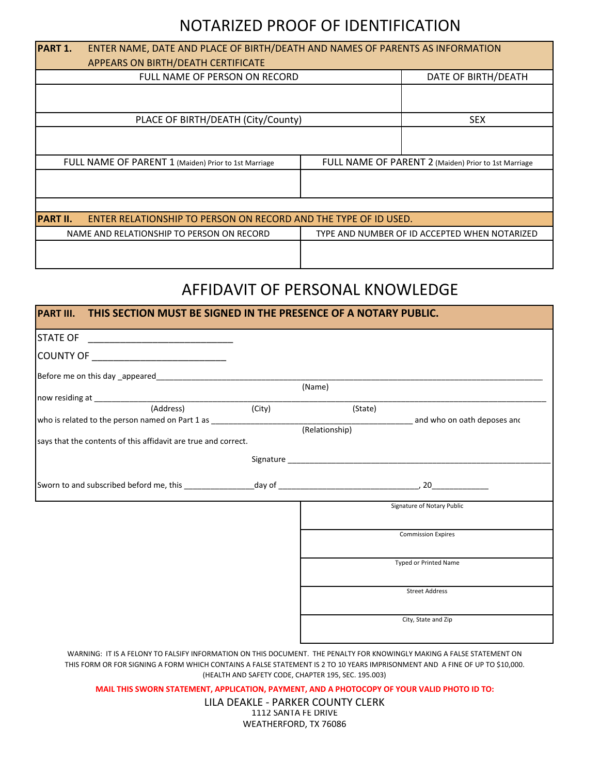## NOTARIZED PROOF OF IDENTIFICATION

| PART 1.         | ENTER NAME, DATE AND PLACE OF BIRTH/DEATH AND NAMES OF PARENTS AS INFORMATION |                                                      |                                               |  |  |  |  |  |
|-----------------|-------------------------------------------------------------------------------|------------------------------------------------------|-----------------------------------------------|--|--|--|--|--|
|                 | APPEARS ON BIRTH/DEATH CERTIFICATE                                            |                                                      |                                               |  |  |  |  |  |
|                 | FULL NAME OF PERSON ON RECORD                                                 |                                                      | DATE OF BIRTH/DEATH                           |  |  |  |  |  |
|                 |                                                                               |                                                      |                                               |  |  |  |  |  |
|                 | PLACE OF BIRTH/DEATH (City/County)                                            |                                                      | <b>SEX</b>                                    |  |  |  |  |  |
|                 |                                                                               |                                                      |                                               |  |  |  |  |  |
|                 | FULL NAME OF PARENT 1 (Maiden) Prior to 1st Marriage                          | FULL NAME OF PARENT 2 (Maiden) Prior to 1st Marriage |                                               |  |  |  |  |  |
|                 |                                                                               |                                                      |                                               |  |  |  |  |  |
|                 |                                                                               |                                                      |                                               |  |  |  |  |  |
| <b>PART II.</b> | ENTER RELATIONSHIP TO PERSON ON RECORD AND THE TYPE OF ID USED.               |                                                      |                                               |  |  |  |  |  |
|                 | NAME AND RELATIONSHIP TO PERSON ON RECORD                                     |                                                      | TYPE AND NUMBER OF ID ACCEPTED WHEN NOTARIZED |  |  |  |  |  |
|                 |                                                                               |                                                      |                                               |  |  |  |  |  |

## AFFIDAVIT OF PERSONAL KNOWLEDGE

| COUNTY OF _____________________________                        |                                                                                                                               |
|----------------------------------------------------------------|-------------------------------------------------------------------------------------------------------------------------------|
|                                                                |                                                                                                                               |
|                                                                | (Name)                                                                                                                        |
|                                                                |                                                                                                                               |
|                                                                | (State)                                                                                                                       |
|                                                                | who is related to the person named on Part 1 as example and who on oath deposes and who on oath deposes and<br>(Relationship) |
| says that the contents of this affidavit are true and correct. |                                                                                                                               |
|                                                                |                                                                                                                               |
|                                                                |                                                                                                                               |
|                                                                | Signature of Notary Public                                                                                                    |
|                                                                | <b>Commission Expires</b>                                                                                                     |
|                                                                | <b>Typed or Printed Name</b>                                                                                                  |
|                                                                | <b>Street Address</b>                                                                                                         |
|                                                                | City, State and Zip                                                                                                           |

WARNING: IT IS A FELONY TO FALSIFY INFORMATION ON THIS DOCUMENT. THE PENALTY FOR KNOWINGLY MAKING A FALSE STATEMENT ON THIS FORM OR FOR SIGNING A FORM WHICH CONTAINS A FALSE STATEMENT IS 2 TO 10 YEARS IMPRISONMENT AND A FINE OF UP TO \$10,000. (HEALTH AND SAFETY CODE, CHAPTER 195, SEC. 195.003)

**MAIL THIS SWORN STATEMENT, APPLICATION, PAYMENT, AND A PHOTOCOPY OF YOUR VALID PHOTO ID TO:**

LILA DEAKLE ‐ PARKER COUNTY CLERK 1112 SANTA FE DRIVE WEATHERFORD, TX 76086